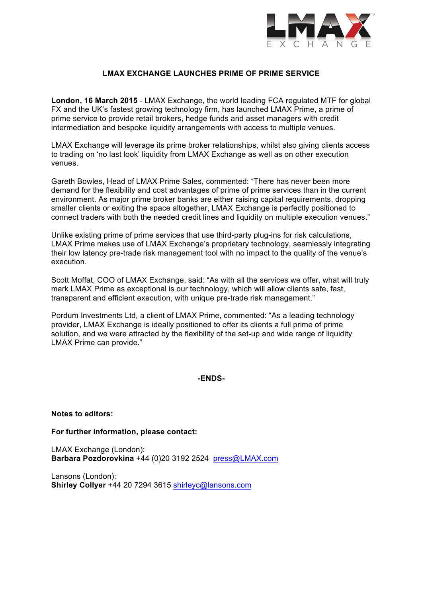

## **LMAX EXCHANGE LAUNCHES PRIME OF PRIME SERVICE**

**London, 16 March 2015** - LMAX Exchange, the world leading FCA regulated MTF for global FX and the UK's fastest growing technology firm, has launched LMAX Prime, a prime of prime service to provide retail brokers, hedge funds and asset managers with credit intermediation and bespoke liquidity arrangements with access to multiple venues.

LMAX Exchange will leverage its prime broker relationships, whilst also giving clients access to trading on 'no last look' liquidity from LMAX Exchange as well as on other execution venues.

Gareth Bowles, Head of LMAX Prime Sales, commented: "There has never been more demand for the flexibility and cost advantages of prime of prime services than in the current environment. As major prime broker banks are either raising capital requirements, dropping smaller clients or exiting the space altogether, LMAX Exchange is perfectly positioned to connect traders with both the needed credit lines and liquidity on multiple execution venues."

Unlike existing prime of prime services that use third-party plug-ins for risk calculations, LMAX Prime makes use of LMAX Exchange's proprietary technology, seamlessly integrating their low latency pre-trade risk management tool with no impact to the quality of the venue's execution.

Scott Moffat, COO of LMAX Exchange, said: "As with all the services we offer, what will truly mark LMAX Prime as exceptional is our technology, which will allow clients safe, fast, transparent and efficient execution, with unique pre-trade risk management."

Pordum Investments Ltd, a client of LMAX Prime, commented: "As a leading technology provider, LMAX Exchange is ideally positioned to offer its clients a full prime of prime solution, and we were attracted by the flexibility of the set-up and wide range of liquidity LMAX Prime can provide."

**-ENDS-**

**Notes to editors:** 

**For further information, please contact:** 

LMAX Exchange (London): **Barbara Pozdorovkina** +44 (0)20 3192 2524 press@LMAX.com

Lansons (London): **Shirley Collyer** +44 20 7294 3615 shirleyc@lansons.com